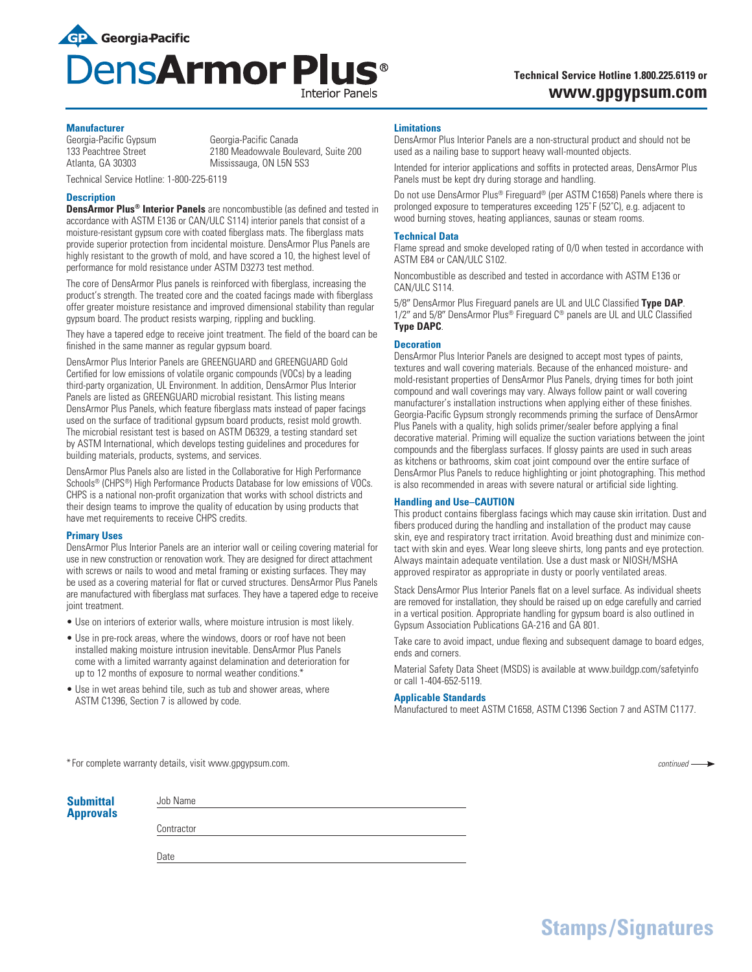

# **Technical Service Hotline 1.800.225.6119 or www.gpgypsum.com**

## **Manufacturer**

Georgia-Pacific Gypsum Georgia-Pacific Canada 133 Peachtree Street 2180 Meadowvale Boulevard, Suite 200<br>Atlanta. GA 30303 120 Mississauga. ON L5N 5S3

Technical Service Hotline: 1-800-225-6119

## **Description**

**DensArmor Plus® Interior Panels** are noncombustible (as defined and tested in accordance with ASTM E136 or CAN/ULC S114) interior panels that consist of a moisture-resistant gypsum core with coated fiberglass mats. The fiberglass mats provide superior protection from incidental moisture. DensArmor Plus Panels are highly resistant to the growth of mold, and have scored a 10, the highest level of performance for mold resistance under ASTM D3273 test method.

Mississauga, ON L5N 5S3

The core of DensArmor Plus panels is reinforced with fiberglass, increasing the product's strength. The treated core and the coated facings made with fiberglass offer greater moisture resistance and improved dimensional stability than regular gypsum board. The product resists warping, rippling and buckling.

They have a tapered edge to receive joint treatment. The field of the board can be finished in the same manner as regular gypsum board.

DensArmor Plus Interior Panels are GREENGUARD and GREENGUARD Gold Certified for low emissions of volatile organic compounds (VOCs) by a leading third-party organization, UL Environment. In addition, DensArmor Plus Interior Panels are listed as GREENGUARD microbial resistant. This listing means DensArmor Plus Panels, which feature fiberglass mats instead of paper facings used on the surface of traditional gypsum board products, resist mold growth. The microbial resistant test is based on ASTM D6329, a testing standard set by ASTM International, which develops testing guidelines and procedures for building materials, products, systems, and services.

DensArmor Plus Panels also are listed in the Collaborative for High Performance Schools<sup>®</sup> (CHPS<sup>®</sup>) High Performance Products Database for low emissions of VOCs. CHPS is a national non-profit organization that works with school districts and their design teams to improve the quality of education by using products that have met requirements to receive CHPS credits.

#### **Primary Uses**

DensArmor Plus Interior Panels are an interior wall or ceiling covering material for use in new construction or renovation work. They are designed for direct attachment with screws or nails to wood and metal framing or existing surfaces. They may be used as a covering material for flat or curved structures. DensArmor Plus Panels are manufactured with fiberglass mat surfaces. They have a tapered edge to receive joint treatment.

- Use on interiors of exterior walls, where moisture intrusion is most likely.
- Use in pre-rock areas, where the windows, doors or roof have not been installed making moisture intrusion inevitable. DensArmor Plus Panels come with a limited warranty against delamination and deterioration for up to 12 months of exposure to normal weather conditions.\*
- Use in wet areas behind tile, such as tub and shower areas, where ASTM C1396, Section 7 is allowed by code.

## **Limitations**

DensArmor Plus Interior Panels are a non-structural product and should not be used as a nailing base to support heavy wall-mounted objects.

Intended for interior applications and soffits in protected areas, DensArmor Plus Panels must be kept dry during storage and handling.

Do not use DensArmor Plus® Fireguard® (per ASTM C1658) Panels where there is prolonged exposure to temperatures exceeding 125°F (52°C), e.g. adjacent to wood burning stoves, heating appliances, saunas or steam rooms.

## **Technical Data**

Flame spread and smoke developed rating of 0/0 when tested in accordance with ASTM E84 or CAN/ULC S102.

Noncombustible as described and tested in accordance with ASTM E136 or CAN/ULC S114.

5/8" DensArmor Plus Fireguard panels are UL and ULC Classified Type DAP. 1/2" and 5/8" DensArmor Plus® Fireguard C® panels are UL and ULC Classified **Type DAPC**.

# **Decoration**

DensArmor Plus Interior Panels are designed to accept most types of paints, textures and wall covering materials. Because of the enhanced moisture- and mold-resistant properties of DensArmor Plus Panels, drying times for both joint compound and wall coverings may vary. Always follow paint or wall covering manufacturer's installation instructions when applying either of these finishes. Georgia-Pacific Gypsum strongly recommends priming the surface of DensArmor Plus Panels with a quality, high solids primer/sealer before applying a final decorative material. Priming will equalize the suction variations between the joint compounds and the fiberglass surfaces. If glossy paints are used in such areas as kitchens or bathrooms, skim coat joint compound over the entire surface of DensArmor Plus Panels to reduce highlighting or joint photographing. This method is also recommended in areas with severe natural or artificial side lighting.

# **Handling and Use–CAUTION**

This product contains fiberglass facings which may cause skin irritation. Dust and fibers produced during the handling and installation of the product may cause skin, eye and respiratory tract irritation. Avoid breathing dust and minimize contact with skin and eyes. Wear long sleeve shirts, long pants and eye protection. Always maintain adequate ventilation. Use a dust mask or NIOSH/MSHA approved respirator as appropriate in dusty or poorly ventilated areas.

Stack DensArmor Plus Interior Panels flat on a level surface. As individual sheets are removed for installation, they should be raised up on edge carefully and carried in a vertical position. Appropriate handling for gypsum board is also outlined in Gypsum Association Publications GA-216 and GA 801.

Take care to avoid impact, undue flexing and subsequent damage to board edges, ends and corners.

Material Safety Data Sheet (MSDS) is available at www.buildgp.com/safetyinfo or call 1-404-652-5119.

# **Applicable Standards**

Manufactured to meet ASTM C1658, ASTM C1396 Section 7 and ASTM C1177.

\*For complete warranty details, visit www.gpgypsum.com.

| <b>Submittal</b> | Job Name   |  |
|------------------|------------|--|
| <b>Approvals</b> |            |  |
|                  | Contractor |  |
|                  |            |  |
|                  | Date       |  |

*continued*